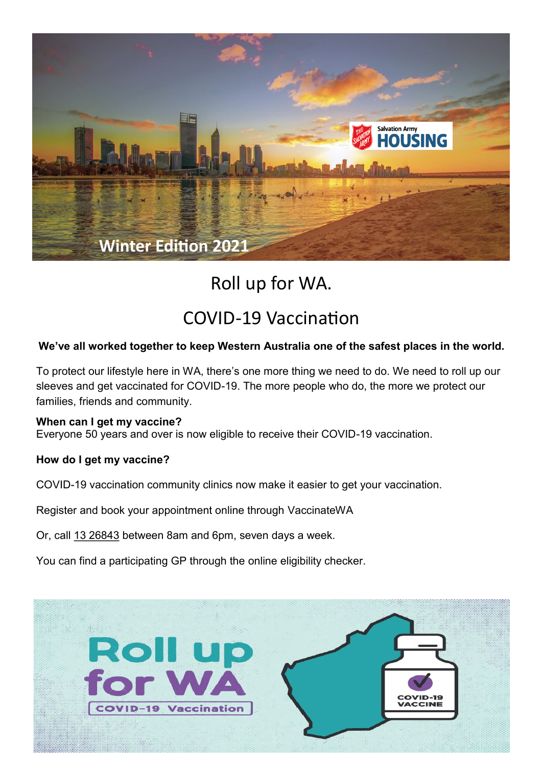

# Roll up for WA.

## COVID-19 Vaccination

## **We've all worked together to keep Western Australia one of the safest places in the world.**

To protect our lifestyle here in WA, there's one more thing we need to do. We need to roll up our sleeves and get vaccinated for COVID-19. The more people who do, the more we protect our families, friends and community.

#### **When can I get my vaccine?**

Everyone 50 years and over is now eligible to receive their COVID-19 vaccination.

#### **How do I get my vaccine?**

COVID-19 vaccination community clinics now make it easier to get your vaccination.

Register and book your appointment online through [VaccinateWA](https://vaccinatewa.health.wa.gov.au/s/login/SelfRegister)

Or, call [13 26843](tel:1326843) between 8am and 6pm, seven days a week.

You can find a participating GP through the [online eligibility checker.](https://covid-vaccine.healthdirect.gov.au/eligibility)

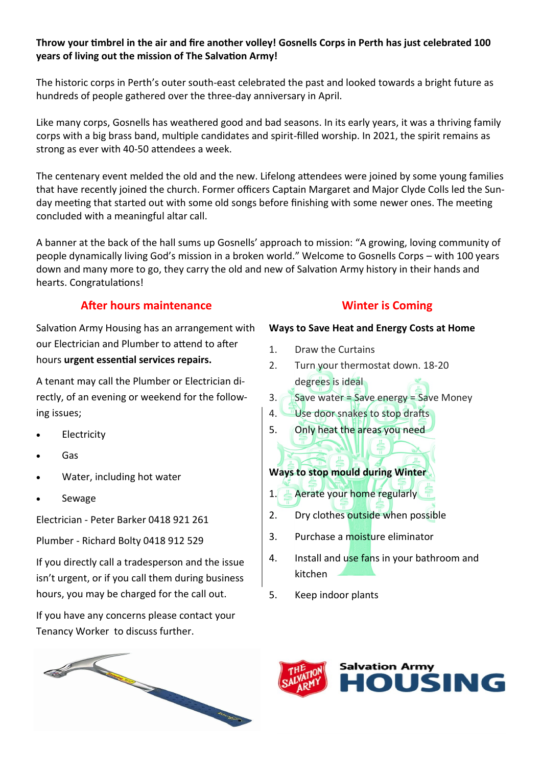### **Throw your timbrel in the air and fire another volley! Gosnells Corps in Perth has just celebrated 100 years of living out the mission of The Salvation Army!**

The historic corps in Perth's outer south-east celebrated the past and looked towards a bright future as hundreds of people gathered over the three-day anniversary in April.

Like many corps, Gosnells has weathered good and bad seasons. In its early years, it was a thriving family corps with a big brass band, multiple candidates and spirit-filled worship. In 2021, the spirit remains as strong as ever with 40-50 attendees a week.

The centenary event melded the old and the new. Lifelong attendees were joined by some young families that have recently joined the church. Former officers Captain Margaret and Major Clyde Colls led the Sunday meeting that started out with some old songs before finishing with some newer ones. The meeting concluded with a meaningful altar call.

A banner at the back of the hall sums up Gosnells' approach to mission: "A growing, loving community of people dynamically living God's mission in a broken world." Welcome to Gosnells Corps – with 100 years down and many more to go, they carry the old and new of Salvation Army history in their hands and hearts. Congratulations!

## **After hours maintenance**

Salvation Army Housing has an arrangement with our Electrician and Plumber to attend to after hours **urgent essential services repairs.** 

A tenant may call the Plumber or Electrician directly, of an evening or weekend for the following issues;

- **Electricity**
- Gas
- Water, including hot water
- Sewage

Electrician - Peter Barker 0418 921 261

Plumber - Richard Bolty 0418 912 529

If you directly call a tradesperson and the issue isn't urgent, or if you call them during business hours, you may be charged for the call out.

If you have any concerns please contact your Tenancy Worker to discuss further.

## **Winter is Coming**

### **Ways to Save Heat and Energy Costs at Home**

- 1. Draw the Curtains
- 2. Turn your thermostat down. 18-20 degrees is ideal
- 3. Save water = Save energy = Save Money
- 4. Use door snakes to stop drafts
- 5. Only heat the areas you need

## **Ways to stop mould during Winter**

- 1. Aerate your home regularly
- 2. Dry clothes outside when possible
- 3. Purchase a moisture eliminator
- 4. Install and use fans in your bathroom and kitchen
- 5. Keep indoor plants



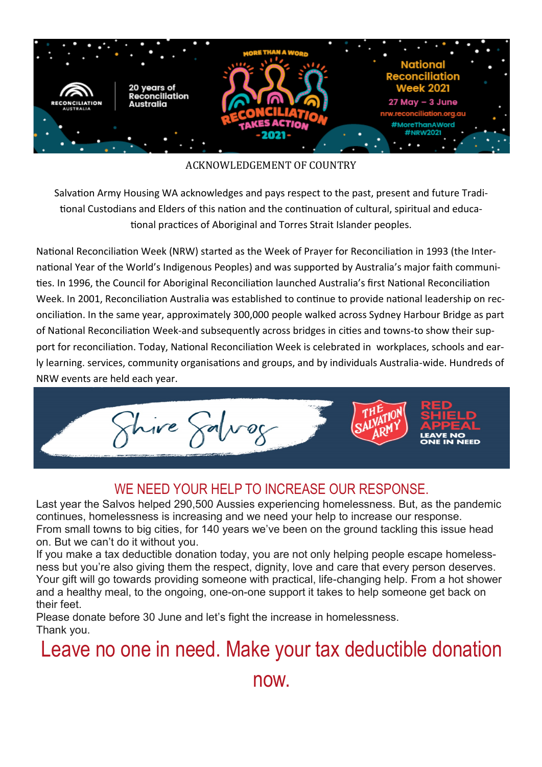

## ACKNOWLEDGEMENT OF COUNTRY

Salvation Army Housing WA acknowledges and pays respect to the past, present and future Traditional Custodians and Elders of this nation and the continuation of cultural, spiritual and educational practices of Aboriginal and Torres Strait Islander peoples.

National Reconciliation Week (NRW) started as the Week of Prayer for Reconciliation in 1993 (the International Year of the World's Indigenous Peoples) and was supported by Australia's major faith communities. In 1996, the Council for Aboriginal Reconciliation launched Australia's first National Reconciliation Week. In 2001, Reconciliation Australia was established to continue to provide national leadership on reconciliation. In the same year, approximately 300,000 people walked across Sydney Harbour Bridge as part of National Reconciliation Week-and subsequently across bridges in cities and towns-to show their support for reconciliation. Today, National Reconciliation Week is celebrated in workplaces, schools and early learning. services, community organisations and groups, and by individuals Australia-wide. Hundreds of NRW events are held each year.



## WE NEED YOUR HELP TO INCREASE OUR RESPONSE.

Last year the Salvos helped 290,500 Aussies experiencing homelessness. But, as the pandemic continues, homelessness is increasing and we need your help to increase our response. From small towns to big cities, for 140 years we've been on the ground tackling this issue head on. But we can't do it without you.

If you make a tax deductible donation today, you are not only helping people escape homelessness but you're also giving them the respect, dignity, love and care that every person deserves. Your gift will go towards providing someone with practical, life-changing help. From a hot shower and a healthy meal, to the ongoing, one-on-one support it takes to help someone get back on their feet.

Please donate before 30 June and let's fight the increase in homelessness. Thank you.

## Leave no one in need. Make your tax deductible donation

now.